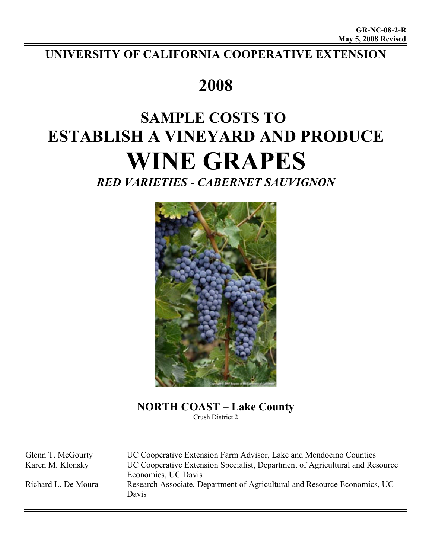## **UNIVERSITY OF CALIFORNIA COOPERATIVE EXTENSION**

## **2008**

# **SAMPLE COSTS TO ESTABLISH A VINEYARD AND PRODUCE WINE GRAPES**

*RED VARIETIES - CABERNET SAUVIGNON*



**NORTH COAST – Lake County** Crush District 2

Glenn T. McGourty UC Cooperative Extension Farm Advisor, Lake and Mendocino Counties Karen M. Klonsky UC Cooperative Extension Specialist, Department of Agricultural and Resource Economics, UC Davis Richard L. De Moura Research Associate, Department of Agricultural and Resource Economics, UC Davis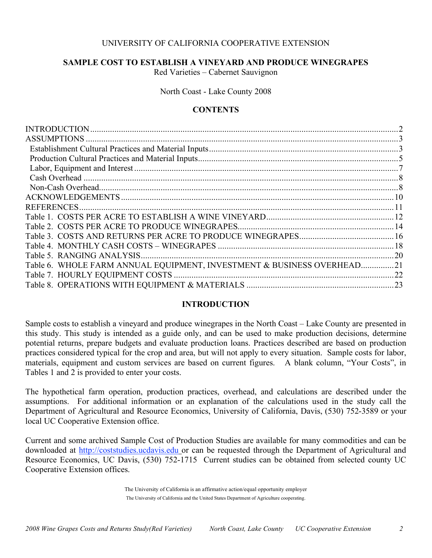## UNIVERSITY OF CALIFORNIA COOPERATIVE EXTENSION

## **SAMPLE COST TO ESTABLISH A VINEYARD AND PRODUCE WINEGRAPES**

Red Varieties – Cabernet Sauvignon

North Coast - Lake County 2008

## **CONTENTS**

|                                                                        | $\mathcal{D}_{\mathcal{L}}$ |
|------------------------------------------------------------------------|-----------------------------|
|                                                                        |                             |
|                                                                        |                             |
|                                                                        |                             |
|                                                                        |                             |
|                                                                        |                             |
|                                                                        |                             |
|                                                                        |                             |
| <b>REFERENCES.</b>                                                     |                             |
|                                                                        |                             |
|                                                                        |                             |
|                                                                        |                             |
|                                                                        |                             |
|                                                                        |                             |
| Table 6. WHOLE FARM ANNUAL EQUIPMENT, INVESTMENT & BUSINESS OVERHEAD21 |                             |
|                                                                        | .22                         |
|                                                                        |                             |

## **INTRODUCTION**

Sample costs to establish a vineyard and produce winegrapes in the North Coast – Lake County are presented in this study. This study is intended as a guide only, and can be used to make production decisions, determine potential returns, prepare budgets and evaluate production loans. Practices described are based on production practices considered typical for the crop and area, but will not apply to every situation. Sample costs for labor, materials, equipment and custom services are based on current figures. A blank column, "Your Costs", in Tables 1 and 2 is provided to enter your costs.

The hypothetical farm operation, production practices, overhead, and calculations are described under the assumptions. For additional information or an explanation of the calculations used in the study call the Department of Agricultural and Resource Economics, University of California, Davis, (530) 752-3589 or your local UC Cooperative Extension office.

Current and some archived Sample Cost of Production Studies are available for many commodities and can be downloaded at http://coststudies.ucdavis.edu or can be requested through the Department of Agricultural and Resource Economics, UC Davis, (530) 752-1715 Current studies can be obtained from selected county UC Cooperative Extension offices.

> The University of California is an affirmative action/equal opportunity employer The University of California and the United States Department of Agriculture cooperating.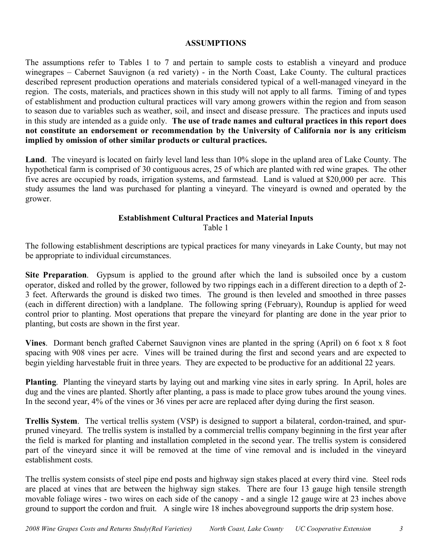## **ASSUMPTIONS**

The assumptions refer to Tables 1 to 7 and pertain to sample costs to establish a vineyard and produce winegrapes – Cabernet Sauvignon (a red variety) - in the North Coast, Lake County. The cultural practices described represent production operations and materials considered typical of a well-managed vineyard in the region. The costs, materials, and practices shown in this study will not apply to all farms. Timing of and types of establishment and production cultural practices will vary among growers within the region and from season to season due to variables such as weather, soil, and insect and disease pressure. The practices and inputs used in this study are intended as a guide only. **The use of trade names and cultural practices in this report does not constitute an endorsement or recommendation by the University of California nor is any criticism implied by omission of other similar products or cultural practices.**

**Land**. The vineyard is located on fairly level land less than 10% slope in the upland area of Lake County. The hypothetical farm is comprised of 30 contiguous acres, 25 of which are planted with red wine grapes. The other five acres are occupied by roads, irrigation systems, and farmstead. Land is valued at \$20,000 per acre. This study assumes the land was purchased for planting a vineyard. The vineyard is owned and operated by the grower.

#### **Establishment Cultural Practices and Material Inputs** Table 1

The following establishment descriptions are typical practices for many vineyards in Lake County, but may not be appropriate to individual circumstances.

**Site Preparation**. Gypsum is applied to the ground after which the land is subsoiled once by a custom operator, disked and rolled by the grower, followed by two rippings each in a different direction to a depth of 2- 3 feet. Afterwards the ground is disked two times. The ground is then leveled and smoothed in three passes (each in different direction) with a landplane. The following spring (February), Roundup is applied for weed control prior to planting. Most operations that prepare the vineyard for planting are done in the year prior to planting, but costs are shown in the first year.

**Vines**. Dormant bench grafted Cabernet Sauvignon vines are planted in the spring (April) on 6 foot x 8 foot spacing with 908 vines per acre. Vines will be trained during the first and second years and are expected to begin yielding harvestable fruit in three years. They are expected to be productive for an additional 22 years.

**Planting**. Planting the vineyard starts by laying out and marking vine sites in early spring. In April, holes are dug and the vines are planted. Shortly after planting, a pass is made to place grow tubes around the young vines. In the second year, 4% of the vines or 36 vines per acre are replaced after dying during the first season.

**Trellis System**. The vertical trellis system (VSP) is designed to support a bilateral, cordon-trained, and spurpruned vineyard. The trellis system is installed by a commercial trellis company beginning in the first year after the field is marked for planting and installation completed in the second year. The trellis system is considered part of the vineyard since it will be removed at the time of vine removal and is included in the vineyard establishment costs.

The trellis system consists of steel pipe end posts and highway sign stakes placed at every third vine. Steel rods are placed at vines that are between the highway sign stakes. There are four 13 gauge high tensile strength movable foliage wires - two wires on each side of the canopy - and a single 12 gauge wire at 23 inches above ground to support the cordon and fruit. A single wire 18 inches aboveground supports the drip system hose.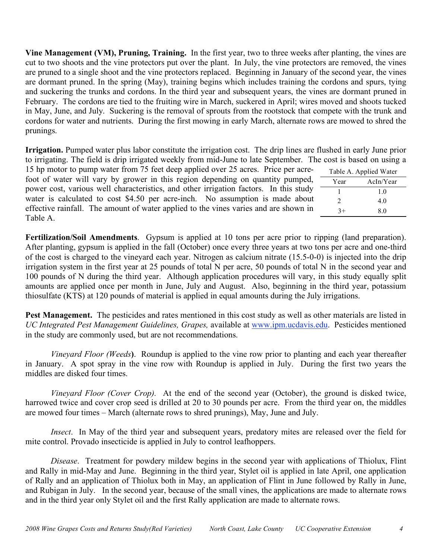**Vine Management (VM), Pruning, Training.** In the first year, two to three weeks after planting, the vines are cut to two shoots and the vine protectors put over the plant. In July, the vine protectors are removed, the vines are pruned to a single shoot and the vine protectors replaced. Beginning in January of the second year, the vines are dormant pruned. In the spring (May), training begins which includes training the cordons and spurs, tying and suckering the trunks and cordons. In the third year and subsequent years, the vines are dormant pruned in February. The cordons are tied to the fruiting wire in March, suckered in April; wires moved and shoots tucked in May, June, and July. Suckering is the removal of sprouts from the rootstock that compete with the trunk and cordons for water and nutrients. During the first mowing in early March, alternate rows are mowed to shred the prunings.

**Irrigation.** Pumped water plus labor constitute the irrigation cost. The drip lines are flushed in early June prior to irrigating. The field is drip irrigated weekly from mid-June to late September. The cost is based on using a

15 hp motor to pump water from 75 feet deep applied over 25 acres. Price per acrefoot of water will vary by grower in this region depending on quantity pumped, power cost, various well characteristics, and other irrigation factors. In this study water is calculated to cost \$4.50 per acre-inch. No assumption is made about effective rainfall. The amount of water applied to the vines varies and are shown in Table A.

|                             | Table A. Applied Water |
|-----------------------------|------------------------|
| Year                        | AcIn/Year              |
|                             | 1.0                    |
| $\mathcal{D}_{\mathcal{L}}$ | 4.0                    |
| $3+$                        | 80                     |

**Fertilization/Soil Amendments**. Gypsum is applied at 10 tons per acre prior to ripping (land preparation). After planting, gypsum is applied in the fall (October) once every three years at two tons per acre and one-third of the cost is charged to the vineyard each year. Nitrogen as calcium nitrate (15.5-0-0) is injected into the drip irrigation system in the first year at 25 pounds of total N per acre, 50 pounds of total N in the second year and 100 pounds of N during the third year. Although application procedures will vary, in this study equally split amounts are applied once per month in June, July and August. Also, beginning in the third year, potassium thiosulfate (KTS) at 120 pounds of material is applied in equal amounts during the July irrigations.

**Pest Management.** The pesticides and rates mentioned in this cost study as well as other materials are listed in *UC Integrated Pest Management Guidelines, Grapes,* available at www.ipm.ucdavis.edu. Pesticides mentioned in the study are commonly used, but are not recommendations.

*Vineyard Floor (Weeds***)**. Roundup is applied to the vine row prior to planting and each year thereafter in January. A spot spray in the vine row with Roundup is applied in July. During the first two years the middles are disked four times.

*Vineyard Floor (Cover Crop).* At the end of the second year (October), the ground is disked twice, harrowed twice and cover crop seed is drilled at 20 to 30 pounds per acre. From the third year on, the middles are mowed four times – March (alternate rows to shred prunings), May, June and July.

*Insect*. In May of the third year and subsequent years, predatory mites are released over the field for mite control. Provado insecticide is applied in July to control leafhoppers.

*Disease*. Treatment for powdery mildew begins in the second year with applications of Thiolux, Flint and Rally in mid-May and June. Beginning in the third year, Stylet oil is applied in late April, one application of Rally and an application of Thiolux both in May, an application of Flint in June followed by Rally in June, and Rubigan in July. In the second year, because of the small vines, the applications are made to alternate rows and in the third year only Stylet oil and the first Rally application are made to alternate rows.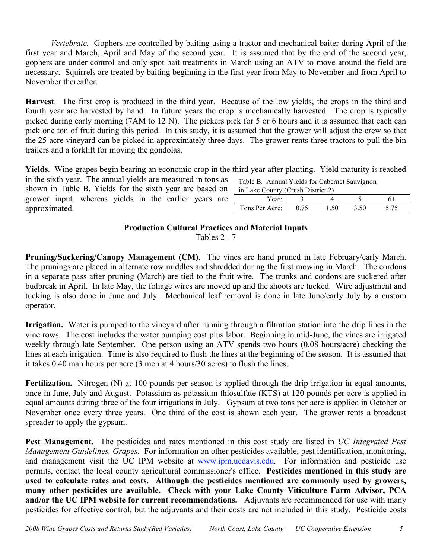*Vertebrate.* Gophers are controlled by baiting using a tractor and mechanical baiter during April of the first year and March, April and May of the second year. It is assumed that by the end of the second year, gophers are under control and only spot bait treatments in March using an ATV to move around the field are necessary. Squirrels are treated by baiting beginning in the first year from May to November and from April to November thereafter.

**Harvest**. The first crop is produced in the third year. Because of the low yields, the crops in the third and fourth year are harvested by hand. In future years the crop is mechanically harvested. The crop is typically picked during early morning (7AM to 12 N). The pickers pick for 5 or 6 hours and it is assumed that each can pick one ton of fruit during this period. In this study, it is assumed that the grower will adjust the crew so that the 25-acre vineyard can be picked in approximately three days. The grower rents three tractors to pull the bin trailers and a forklift for moving the gondolas.

**Yields**. Wine grapes begin bearing an economic crop in the third year after planting. Yield maturity is reached

in the sixth year. The annual yields are measured in tons as shown in Table B. Yields for the sixth year are based on grower input, whereas yields in the earlier years are approximated.

| Table B. Annual Yields for Cabernet Sauvignon |  |  |
|-----------------------------------------------|--|--|
| in Lake County (Crush District 2)             |  |  |
|                                               |  |  |

| $\cdots$       | $-1.0011 + 1.0011 + 1.0011 + 1.0011 + 1.0011 + 1.0011 + 1.0011 + 1.0011 + 1.0011 + 1.0011 + 1.0011 + 1.0011 + 1.0011 + 1.0011 + 1.0011 + 1.0011 + 1.0011 + 1.0011 + 1.0011 + 1.0011 + 1.0011 + 1.0011 + 1.0011 + 1.0011 + 1.0011 + 1.0011 + 1.0011 + 1.0$ |           |  |  |
|----------------|-----------------------------------------------------------------------------------------------------------------------------------------------------------------------------------------------------------------------------------------------------------|-----------|--|--|
|                |                                                                                                                                                                                                                                                           |           |  |  |
| Tons Per Acre: |                                                                                                                                                                                                                                                           | $\cdot$ v |  |  |

## **Production Cultural Practices and Material Inputs**

Tables 2 - 7

**Pruning/Suckering/Canopy Management (CM)**. The vines are hand pruned in late February/early March. The prunings are placed in alternate row middles and shredded during the first mowing in March. The cordons in a separate pass after pruning (March) are tied to the fruit wire. The trunks and cordons are suckered after budbreak in April. In late May, the foliage wires are moved up and the shoots are tucked. Wire adjustment and tucking is also done in June and July. Mechanical leaf removal is done in late June/early July by a custom operator.

**Irrigation.** Water is pumped to the vineyard after running through a filtration station into the drip lines in the vine rows. The cost includes the water pumping cost plus labor. Beginning in mid-June, the vines are irrigated weekly through late September. One person using an ATV spends two hours (0.08 hours/acre) checking the lines at each irrigation. Time is also required to flush the lines at the beginning of the season. It is assumed that it takes 0.40 man hours per acre (3 men at 4 hours/30 acres) to flush the lines.

Fertilization. Nitrogen (N) at 100 pounds per season is applied through the drip irrigation in equal amounts, once in June, July and August. Potassium as potassium thiosulfate (KTS) at 120 pounds per acre is applied in equal amounts during three of the four irrigations in July. Gypsum at two tons per acre is applied in October or November once every three years. One third of the cost is shown each year. The grower rents a broadcast spreader to apply the gypsum.

**Pest Management.** The pesticides and rates mentioned in this cost study are listed in *UC Integrated Pest Management Guidelines, Grapes.* For information on other pesticides available, pest identification, monitoring, and management visit the UC IPM website at www.ipm.ucdavis.edu. For information and pesticide use permits, contact the local county agricultural commissioner's office. **Pesticides mentioned in this study are used to calculate rates and costs. Although the pesticides mentioned are commonly used by growers, many other pesticides are available. Check with your Lake County Viticulture Farm Advisor, PCA and/or the UC IPM website for current recommendations.** Adjuvants are recommended for use with many pesticides for effective control, but the adjuvants and their costs are not included in this study. Pesticide costs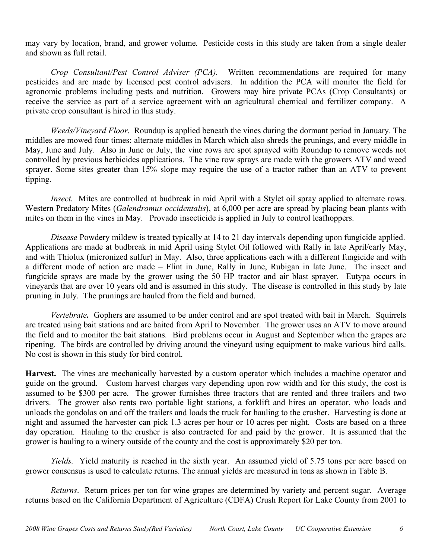may vary by location, brand, and grower volume. Pesticide costs in this study are taken from a single dealer and shown as full retail.

*Crop Consultant/Pest Control Adviser (PCA).* Written recommendations are required for many pesticides and are made by licensed pest control advisers. In addition the PCA will monitor the field for agronomic problems including pests and nutrition. Growers may hire private PCAs (Crop Consultants) or receive the service as part of a service agreement with an agricultural chemical and fertilizer company. A private crop consultant is hired in this study.

*Weeds/Vineyard Floor*. Roundup is applied beneath the vines during the dormant period in January. The middles are mowed four times: alternate middles in March which also shreds the prunings, and every middle in May, June and July. Also in June or July, the vine rows are spot sprayed with Roundup to remove weeds not controlled by previous herbicides applications. The vine row sprays are made with the growers ATV and weed sprayer. Some sites greater than 15% slope may require the use of a tractor rather than an ATV to prevent tipping.

*Insect.* Mites are controlled at budbreak in mid April with a Stylet oil spray applied to alternate rows. Western Predatory Mites (*Galendromus occidentalis*), at 6,000 per acre are spread by placing bean plants with mites on them in the vines in May. Provado insecticide is applied in July to control leafhoppers.

*Disease* Powdery mildew is treated typically at 14 to 21 day intervals depending upon fungicide applied. Applications are made at budbreak in mid April using Stylet Oil followed with Rally in late April/early May, and with Thiolux (micronized sulfur) in May. Also, three applications each with a different fungicide and with a different mode of action are made – Flint in June, Rally in June, Rubigan in late June. The insect and fungicide sprays are made by the grower using the 50 HP tractor and air blast sprayer. Eutypa occurs in vineyards that are over 10 years old and is assumed in this study. The disease is controlled in this study by late pruning in July. The prunings are hauled from the field and burned.

*Vertebrate.* Gophers are assumed to be under control and are spot treated with bait in March. Squirrels are treated using bait stations and are baited from April to November. The grower uses an ATV to move around the field and to monitor the bait stations. Bird problems occur in August and September when the grapes are ripening. The birds are controlled by driving around the vineyard using equipment to make various bird calls. No cost is shown in this study for bird control.

**Harvest.** The vines are mechanically harvested by a custom operator which includes a machine operator and guide on the ground. Custom harvest charges vary depending upon row width and for this study, the cost is assumed to be \$300 per acre. The grower furnishes three tractors that are rented and three trailers and two drivers. The grower also rents two portable light stations, a forklift and hires an operator, who loads and unloads the gondolas on and off the trailers and loads the truck for hauling to the crusher. Harvesting is done at night and assumed the harvester can pick 1.3 acres per hour or 10 acres per night. Costs are based on a three day operation. Hauling to the crusher is also contracted for and paid by the grower. It is assumed that the grower is hauling to a winery outside of the county and the cost is approximately \$20 per ton.

*Yields.* Yield maturity is reached in the sixth year. An assumed yield of 5.75 tons per acre based on grower consensus is used to calculate returns. The annual yields are measured in tons as shown in Table B.

*Returns*. Return prices per ton for wine grapes are determined by variety and percent sugar. Average returns based on the California Department of Agriculture (CDFA) Crush Report for Lake County from 2001 to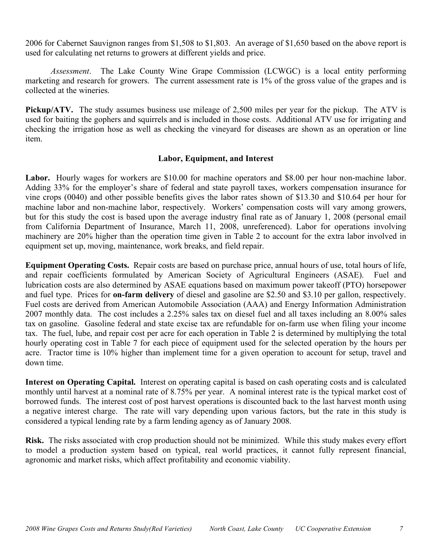2006 for Cabernet Sauvignon ranges from \$1,508 to \$1,803. An average of \$1,650 based on the above report is used for calculating net returns to growers at different yields and price.

*Assessment*. The Lake County Wine Grape Commission (LCWGC) is a local entity performing marketing and research for growers. The current assessment rate is 1% of the gross value of the grapes and is collected at the wineries.

**Pickup/ATV.** The study assumes business use mileage of 2,500 miles per year for the pickup. The ATV is used for baiting the gophers and squirrels and is included in those costs. Additional ATV use for irrigating and checking the irrigation hose as well as checking the vineyard for diseases are shown as an operation or line item.

## **Labor, Equipment, and Interest**

Labor. Hourly wages for workers are \$10.00 for machine operators and \$8.00 per hour non-machine labor. Adding 33% for the employer's share of federal and state payroll taxes, workers compensation insurance for vine crops (0040) and other possible benefits gives the labor rates shown of \$13.30 and \$10.64 per hour for machine labor and non-machine labor, respectively. Workers' compensation costs will vary among growers, but for this study the cost is based upon the average industry final rate as of January 1, 2008 (personal email from California Department of Insurance, March 11, 2008, unreferenced). Labor for operations involving machinery are 20% higher than the operation time given in Table 2 to account for the extra labor involved in equipment set up, moving, maintenance, work breaks, and field repair.

**Equipment Operating Costs.** Repair costs are based on purchase price, annual hours of use, total hours of life, and repair coefficients formulated by American Society of Agricultural Engineers (ASAE). Fuel and lubrication costs are also determined by ASAE equations based on maximum power takeoff (PTO) horsepower and fuel type. Prices for **on-farm delivery** of diesel and gasoline are \$2.50 and \$3.10 per gallon, respectively. Fuel costs are derived from American Automobile Association (AAA) and Energy Information Administration 2007 monthly data. The cost includes a 2.25% sales tax on diesel fuel and all taxes including an 8.00% sales tax on gasoline. Gasoline federal and state excise tax are refundable for on-farm use when filing your income tax. The fuel, lube, and repair cost per acre for each operation in Table 2 is determined by multiplying the total hourly operating cost in Table 7 for each piece of equipment used for the selected operation by the hours per acre. Tractor time is 10% higher than implement time for a given operation to account for setup, travel and down time.

**Interest on Operating Capital.** Interest on operating capital is based on cash operating costs and is calculated monthly until harvest at a nominal rate of 8.75% per year. A nominal interest rate is the typical market cost of borrowed funds. The interest cost of post harvest operations is discounted back to the last harvest month using a negative interest charge. The rate will vary depending upon various factors, but the rate in this study is considered a typical lending rate by a farm lending agency as of January 2008.

**Risk.** The risks associated with crop production should not be minimized. While this study makes every effort to model a production system based on typical, real world practices, it cannot fully represent financial, agronomic and market risks, which affect profitability and economic viability.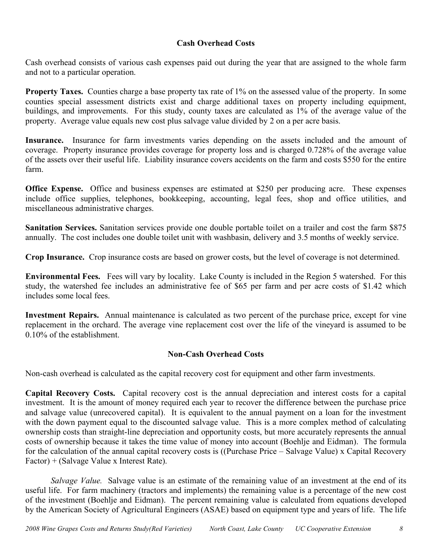## **Cash Overhead Costs**

Cash overhead consists of various cash expenses paid out during the year that are assigned to the whole farm and not to a particular operation.

**Property Taxes.** Counties charge a base property tax rate of 1% on the assessed value of the property. In some counties special assessment districts exist and charge additional taxes on property including equipment, buildings, and improvements. For this study, county taxes are calculated as 1% of the average value of the property. Average value equals new cost plus salvage value divided by 2 on a per acre basis.

**Insurance.** Insurance for farm investments varies depending on the assets included and the amount of coverage. Property insurance provides coverage for property loss and is charged 0.728% of the average value of the assets over their useful life. Liability insurance covers accidents on the farm and costs \$550 for the entire farm.

**Office Expense.** Office and business expenses are estimated at \$250 per producing acre. These expenses include office supplies, telephones, bookkeeping, accounting, legal fees, shop and office utilities, and miscellaneous administrative charges.

**Sanitation Services.** Sanitation services provide one double portable toilet on a trailer and cost the farm \$875 annually. The cost includes one double toilet unit with washbasin, delivery and 3.5 months of weekly service.

**Crop Insurance.** Crop insurance costs are based on grower costs, but the level of coverage is not determined.

**Environmental Fees.** Fees will vary by locality. Lake County is included in the Region 5 watershed. For this study, the watershed fee includes an administrative fee of \$65 per farm and per acre costs of \$1.42 which includes some local fees.

**Investment Repairs.** Annual maintenance is calculated as two percent of the purchase price, except for vine replacement in the orchard. The average vine replacement cost over the life of the vineyard is assumed to be 0.10% of the establishment.

## **Non-Cash Overhead Costs**

Non-cash overhead is calculated as the capital recovery cost for equipment and other farm investments.

**Capital Recovery Costs.** Capital recovery cost is the annual depreciation and interest costs for a capital investment. It is the amount of money required each year to recover the difference between the purchase price and salvage value (unrecovered capital). It is equivalent to the annual payment on a loan for the investment with the down payment equal to the discounted salvage value. This is a more complex method of calculating ownership costs than straight-line depreciation and opportunity costs, but more accurately represents the annual costs of ownership because it takes the time value of money into account (Boehlje and Eidman). The formula for the calculation of the annual capital recovery costs is ((Purchase Price – Salvage Value) x Capital Recovery Factor) + (Salvage Value x Interest Rate).

*Salvage Value.* Salvage value is an estimate of the remaining value of an investment at the end of its useful life. For farm machinery (tractors and implements) the remaining value is a percentage of the new cost of the investment (Boehlje and Eidman). The percent remaining value is calculated from equations developed by the American Society of Agricultural Engineers (ASAE) based on equipment type and years of life. The life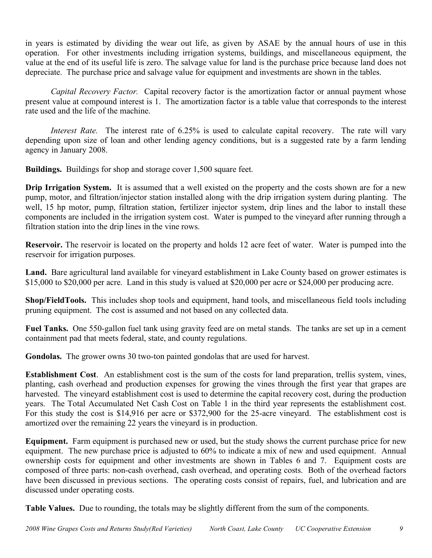in years is estimated by dividing the wear out life, as given by ASAE by the annual hours of use in this operation. For other investments including irrigation systems, buildings, and miscellaneous equipment, the value at the end of its useful life is zero. The salvage value for land is the purchase price because land does not depreciate. The purchase price and salvage value for equipment and investments are shown in the tables.

*Capital Recovery Factor.* Capital recovery factor is the amortization factor or annual payment whose present value at compound interest is 1. The amortization factor is a table value that corresponds to the interest rate used and the life of the machine.

*Interest Rate.* The interest rate of 6.25% is used to calculate capital recovery. The rate will vary depending upon size of loan and other lending agency conditions, but is a suggested rate by a farm lending agency in January 2008.

**Buildings.** Buildings for shop and storage cover 1,500 square feet.

**Drip Irrigation System.** It is assumed that a well existed on the property and the costs shown are for a new pump, motor, and filtration/injector station installed along with the drip irrigation system during planting. The well, 15 hp motor, pump, filtration station, fertilizer injector system, drip lines and the labor to install these components are included in the irrigation system cost. Water is pumped to the vineyard after running through a filtration station into the drip lines in the vine rows.

**Reservoir.** The reservoir is located on the property and holds 12 acre feet of water. Water is pumped into the reservoir for irrigation purposes.

**Land.** Bare agricultural land available for vineyard establishment in Lake County based on grower estimates is \$15,000 to \$20,000 per acre. Land in this study is valued at \$20,000 per acre or \$24,000 per producing acre.

**Shop/FieldTools.** This includes shop tools and equipment, hand tools, and miscellaneous field tools including pruning equipment. The cost is assumed and not based on any collected data.

**Fuel Tanks.** One 550-gallon fuel tank using gravity feed are on metal stands. The tanks are set up in a cement containment pad that meets federal, state, and county regulations.

**Gondolas.** The grower owns 30 two-ton painted gondolas that are used for harvest.

**Establishment Cost**. An establishment cost is the sum of the costs for land preparation, trellis system, vines, planting, cash overhead and production expenses for growing the vines through the first year that grapes are harvested. The vineyard establishment cost is used to determine the capital recovery cost, during the production years. The Total Accumulated Net Cash Cost on Table 1 in the third year represents the establishment cost. For this study the cost is \$14,916 per acre or \$372,900 for the 25-acre vineyard. The establishment cost is amortized over the remaining 22 years the vineyard is in production.

**Equipment.** Farm equipment is purchased new or used, but the study shows the current purchase price for new equipment. The new purchase price is adjusted to 60% to indicate a mix of new and used equipment. Annual ownership costs for equipment and other investments are shown in Tables 6 and 7. Equipment costs are composed of three parts: non-cash overhead, cash overhead, and operating costs. Both of the overhead factors have been discussed in previous sections. The operating costs consist of repairs, fuel, and lubrication and are discussed under operating costs.

**Table Values.** Due to rounding, the totals may be slightly different from the sum of the components.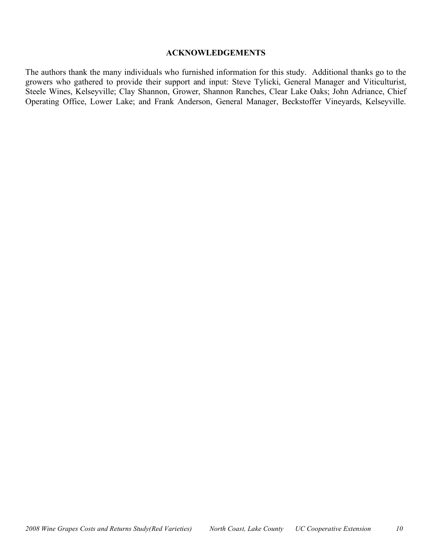#### **ACKNOWLEDGEMENTS**

The authors thank the many individuals who furnished information for this study. Additional thanks go to the growers who gathered to provide their support and input: Steve Tylicki, General Manager and Viticulturist, Steele Wines, Kelseyville; Clay Shannon, Grower, Shannon Ranches, Clear Lake Oaks; John Adriance, Chief Operating Office, Lower Lake; and Frank Anderson, General Manager, Beckstoffer Vineyards, Kelseyville.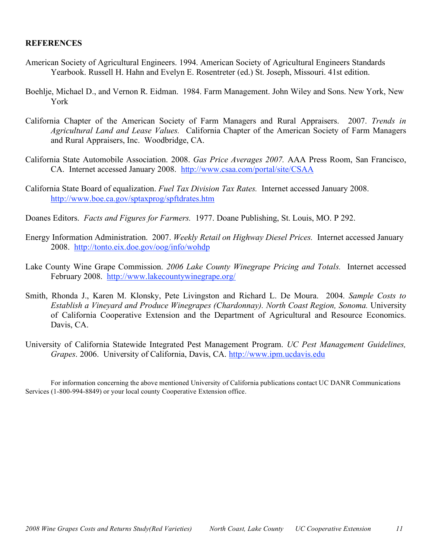### **REFERENCES**

- American Society of Agricultural Engineers. 1994. American Society of Agricultural Engineers Standards Yearbook. Russell H. Hahn and Evelyn E. Rosentreter (ed.) St. Joseph, Missouri. 41st edition.
- Boehlje, Michael D., and Vernon R. Eidman. 1984. Farm Management. John Wiley and Sons. New York, New York
- California Chapter of the American Society of Farm Managers and Rural Appraisers. 2007. *Trends in Agricultural Land and Lease Values.* California Chapter of the American Society of Farm Managers and Rural Appraisers, Inc. Woodbridge, CA.
- California State Automobile Association. 2008. *Gas Price Averages 2007.* AAA Press Room, San Francisco, CA. Internet accessed January 2008. http://www.csaa.com/portal/site/CSAA
- California State Board of equalization. *Fuel Tax Division Tax Rates.* Internet accessed January 2008. http://www.boe.ca.gov/sptaxprog/spftdrates.htm
- Doanes Editors. *Facts and Figures for Farmers.* 1977. Doane Publishing, St. Louis, MO. P 292.
- Energy Information Administration. 2007. *Weekly Retail on Highway Diesel Prices.* Internet accessed January 2008. http://tonto.eix.doe.gov/oog/info/wohdp
- Lake County Wine Grape Commission. *2006 Lake County Winegrape Pricing and Totals.* Internet accessed February 2008. http://www.lakecountywinegrape.org/
- Smith, Rhonda J., Karen M. Klonsky, Pete Livingston and Richard L. De Moura. 2004. *Sample Costs to Establish a Vineyard and Produce Winegrapes (Chardonnay). North Coast Region, Sonoma.* University of California Cooperative Extension and the Department of Agricultural and Resource Economics. Davis, CA.
- University of California Statewide Integrated Pest Management Program. *UC Pest Management Guidelines, Grapes*. 2006. University of California, Davis, CA. http://www.ipm.ucdavis.edu

For information concerning the above mentioned University of California publications contact UC DANR Communications Services (1-800-994-8849) or your local county Cooperative Extension office.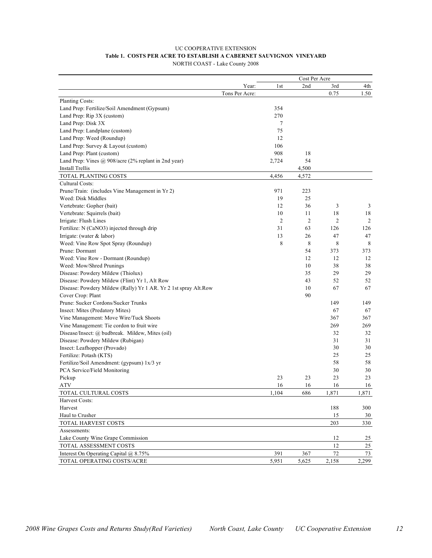#### UC COOPERATIVE EXTENSION **Table 1. COSTS PER ACRE TO ESTABLISH A CABERNET SAUVIGNON VINEYARD** NORTH COAST - Lake County 2008

|                                                                 |                |                | Cost Per Acre  |                |       |
|-----------------------------------------------------------------|----------------|----------------|----------------|----------------|-------|
|                                                                 | Year:          | 1st            | 2nd            | 3rd            | 4th   |
|                                                                 | Tons Per Acre: |                |                | 0.75           | 1.50  |
| Planting Costs:                                                 |                |                |                |                |       |
| Land Prep: Fertilize/Soil Amendment (Gypsum)                    |                | 354            |                |                |       |
| Land Prep: Rip 3X (custom)                                      |                | 270            |                |                |       |
| Land Prep: Disk 3X                                              |                | 7              |                |                |       |
| Land Prep: Landplane (custom)                                   |                | 75             |                |                |       |
| Land Prep: Weed (Roundup)                                       |                | 12             |                |                |       |
| Land Prep: Survey & Layout (custom)                             |                | 106            |                |                |       |
| Land Prep: Plant (custom)                                       |                | 908            | 18             |                |       |
| Land Prep: Vines @ 908/acre (2% replant in 2nd year)            |                | 2,724          | 54             |                |       |
| Install Trellis                                                 |                |                | 4,500          |                |       |
| TOTAL PLANTING COSTS                                            |                | 4,456          | 4,572          |                |       |
| Cultural Costs:                                                 |                |                |                |                |       |
| Prune/Train: (includes Vine Management in Yr 2)                 |                | 971            | 223            |                |       |
| Weed: Disk Middles                                              |                | 19             | 25             |                |       |
| Vertebrate: Gopher (bait)                                       |                | 12             | 36             | 3              | 3     |
| Vertebrate: Squirrels (bait)                                    |                | 10             | 11             | 18             | 18    |
| Irrigate: Flush Lines                                           |                | $\overline{2}$ | $\overline{2}$ | $\overline{2}$ | 2     |
| Fertilize: N (CaNO3) injected through drip                      |                | 31             | 63             | 126            | 126   |
| Irrigate: (water $&$ labor)                                     |                | 13             | 26             | 47             | 47    |
| Weed: Vine Row Spot Spray (Roundup)                             |                | 8              | 8              | 8              | 8     |
| Prune: Dormant                                                  |                |                | 54             | 373            | 373   |
| Weed: Vine Row - Dormant (Roundup)                              |                |                | 12             | 12             | 12    |
| Weed: Mow/Shred Prunings                                        |                |                | 10             | 38             | 38    |
| Disease: Powdery Mildew (Thiolux)                               |                |                | 35             | 29             | 29    |
| Disease: Powdery Mildew (Flint) Yr 1, Alt Row                   |                |                | 43             | 52             | 52    |
| Disease: Powdery Mildew (Rally) Yr 1 AR. Yr 2 1st spray Alt.Row |                |                | 10             | 67             | 67    |
| Cover Crop: Plant                                               |                |                | 90             |                |       |
| Prune: Sucker Cordons/Sucker Trunks                             |                |                |                | 149            | 149   |
| Insect: Mites (Predatory Mites)                                 |                |                |                | 67             | 67    |
| Vine Management: Move Wire/Tuck Shoots                          |                |                |                | 367            | 367   |
|                                                                 |                |                |                |                |       |
| Vine Management: Tie cordon to fruit wire                       |                |                |                | 269            | 269   |
| Disease/Insect: @ budbreak. Mildew, Mites (oil)                 |                |                |                | 32             | 32    |
| Disease: Powdery Mildew (Rubigan)                               |                |                |                | 31             | 31    |
| Insect: Leafhopper (Provado)                                    |                |                |                | 30             | 30    |
| Fertilize: Potash (KTS)                                         |                |                |                | 25             | 25    |
| Fertilize/Soil Amendment: (gypsum) 1x/3 yr                      |                |                |                | 58             | 58    |
| PCA Service/Field Monitoring                                    |                |                |                | 30             | 30    |
| Pickup                                                          |                | 23             | 23             | 23             | 23    |
| <b>ATV</b>                                                      |                | 16             | 16             | 16             | 16    |
| TOTAL CULTURAL COSTS                                            |                | 1,104          | 686            | 1,871          | 1,871 |
| Harvest Costs:                                                  |                |                |                |                |       |
| Harvest                                                         |                |                |                | 188            | 300   |
| Haul to Crusher                                                 |                |                |                | 15             | 30    |
| TOTAL HARVEST COSTS                                             |                |                |                | 203            | 330   |
| Assessments:                                                    |                |                |                |                |       |
| Lake County Wine Grape Commission                               |                |                |                | 12             | 25    |
| <b>TOTAL ASSESSMENT COSTS</b>                                   |                |                |                | 12             | 25    |
| Interest On Operating Capital @ 8.75%                           |                | 391            | 367            | $72\,$         | 73    |
| TOTAL OPERATING COSTS/ACRE                                      |                | 5,951          | 5,625          | 2,158          | 2,299 |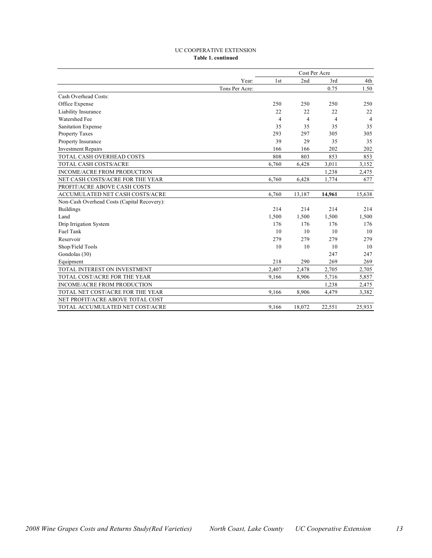#### UC COOPERATIVE EXTENSION **Table 1. continued**

|                                             |                |       | Cost Per Acre  |        |                |
|---------------------------------------------|----------------|-------|----------------|--------|----------------|
|                                             | Year:          | 1st   | 2nd            | 3rd    | 4th            |
|                                             | Tons Per Acre: |       |                | 0.75   | 1.50           |
| Cash Overhead Costs:                        |                |       |                |        |                |
| Office Expense                              |                | 250   | 250            | 250    | 250            |
| Liability Insurance                         |                | 22    | 22             | 22     | 22             |
| Watershed Fee                               |                | 4     | $\overline{4}$ | 4      | $\overline{4}$ |
| Sanitation Expense                          |                | 35    | 35             | 35     | 35             |
| Property Taxes                              |                | 293   | 297            | 305    | 305            |
| Property Insurance                          |                | 39    | 29             | 35     | 35             |
| <b>Investment Repairs</b>                   |                | 166   | 166            | 202    | 202            |
| TOTAL CASH OVERHEAD COSTS                   |                | 808   | 803            | 853    | 853            |
| TOTAL CASH COSTS/ACRE                       |                | 6,760 | 6,428          | 3,011  | 3,152          |
| <b>INCOME/ACRE FROM PRODUCTION</b>          |                |       |                | 1,238  | 2,475          |
| NET CASH COSTS/ACRE FOR THE YEAR            |                | 6,760 | 6,428          | 1,774  | 677            |
| PROFIT/ACRE ABOVE CASH COSTS                |                |       |                |        |                |
| ACCUMULATED NET CASH COSTS/ACRE             |                | 6,760 | 13,187         | 14,961 | 15,638         |
| Non-Cash Overhead Costs (Capital Recovery): |                |       |                |        |                |
| <b>Buildings</b>                            |                | 214   | 214            | 214    | 214            |
| Land                                        |                | 1,500 | 1,500          | 1,500  | 1,500          |
| Drip Irrigation System                      |                | 176   | 176            | 176    | 176            |
| <b>Fuel Tank</b>                            |                | 10    | 10             | 10     | 10             |
| Reservoir                                   |                | 279   | 279            | 279    | 279            |
| Shop/Field Tools                            |                | 10    | 10             | 10     | 10             |
| Gondolas (30)                               |                |       |                | 247    | 247            |
| Equipment                                   |                | 218   | 290            | 269    | 269            |
| TOTAL INTEREST ON INVESTMENT                |                | 2,407 | 2,478          | 2,705  | 2,705          |
| TOTAL COST/ACRE FOR THE YEAR                |                | 9,166 | 8,906          | 5,716  | 5,857          |
| <b>INCOME/ACRE FROM PRODUCTION</b>          |                |       |                | 1,238  | 2,475          |
| TOTAL NET COST/ACRE FOR THE YEAR            |                | 9,166 | 8,906          | 4,479  | 3,382          |
| NET PROFIT/ACRE ABOVE TOTAL COST            |                |       |                |        |                |
| TOTAL ACCUMULATED NET COST/ACRE             |                | 9.166 | 18.072         | 22.551 | 25,933         |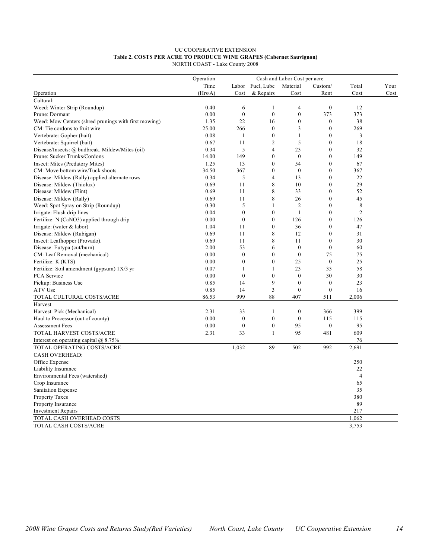#### UC COOPERATIVE EXTENSION **Table 2. COSTS PER ACRE TO PRODUCE WINE GRAPES (Cabernet Sauvignon)** NORTH COAST - Lake County 2008

|                                                      | Operation |                  |                  | Cash and Labor Cost per acre |                  |                |      |
|------------------------------------------------------|-----------|------------------|------------------|------------------------------|------------------|----------------|------|
|                                                      | Time      |                  | Labor Fuel, Lube | Material                     | Custom/          | Total          | Your |
| Operation                                            | (Hrs/A)   | Cost             | & Repairs        | Cost                         | Rent             | Cost           | Cost |
| Cultural:                                            |           |                  |                  |                              |                  |                |      |
| Weed: Winter Strip (Roundup)                         | 0.40      | 6                | 1                | $\overline{4}$               | $\boldsymbol{0}$ | 12             |      |
| Prune: Dormant                                       | 0.00      | $\boldsymbol{0}$ | $\mathbf{0}$     | $\mathbf{0}$                 | 373              | 373            |      |
| Weed: Mow Centers (shred prunings with first mowing) | 1.35      | 22               | 16               | $\mathbf{0}$                 | $\boldsymbol{0}$ | 38             |      |
| CM: Tie cordons to fruit wire                        | 25.00     | 266              | $\mathbf{0}$     | 3                            | $\boldsymbol{0}$ | 269            |      |
| Vertebrate: Gopher (bait)                            | 0.08      | $\mathbf{1}$     | $\mathbf{0}$     | 1                            | $\mathbf{0}$     | 3              |      |
| Vertebrate: Squirrel (bait)                          | 0.67      | 11               | $\overline{2}$   | 5                            | $\mathbf{0}$     | 18             |      |
| Disease/Insects: @ budbreak. Mildew/Mites (oil)      | 0.34      | 5                | $\overline{4}$   | 23                           | $\boldsymbol{0}$ | 32             |      |
| Prune: Sucker Trunks/Cordons                         | 14.00     | 149              | $\mathbf{0}$     | $\mathbf{0}$                 | $\mathbf{0}$     | 149            |      |
| Insect: Mites (Predatory Mites)                      | 1.25      | 13               | $\mathbf{0}$     | 54                           | $\mathbf{0}$     | 67             |      |
| CM: Move bottom wire/Tuck shoots                     | 34.50     | 367              | $\mathbf{0}$     | $\theta$                     | $\boldsymbol{0}$ | 367            |      |
| Disease: Mildew (Rally) applied alternate rows       | 0.34      | 5                | $\overline{4}$   | 13                           | $\mathbf{0}$     | 22             |      |
| Disease: Mildew (Thiolux)                            | 0.69      | 11               | 8                | 10                           | $\boldsymbol{0}$ | 29             |      |
| Disease: Mildew (Flint)                              | 0.69      | 11               | 8                | 33                           | $\mathbf{0}$     | 52             |      |
| Disease: Mildew (Rally)                              | 0.69      | 11               | 8                | 26                           | $\mathbf{0}$     | 45             |      |
| Weed: Spot Spray on Strip (Roundup)                  | 0.30      | 5                | $\mathbf{1}$     | $\overline{2}$               | $\mathbf{0}$     | 8              |      |
| Irrigate: Flush drip lines                           | 0.04      | $\boldsymbol{0}$ | $\mathbf{0}$     | $\mathbf{1}$                 | $\mathbf{0}$     | $\overline{2}$ |      |
| Fertilize: N (CaNO3) applied through drip            | 0.00      | $\boldsymbol{0}$ | $\mathbf{0}$     | 126                          | $\boldsymbol{0}$ | 126            |      |
| Irrigate: (water $&$ labor)                          | 1.04      | 11               | $\mathbf{0}$     | 36                           | $\mathbf{0}$     | 47             |      |
| Disease: Mildew (Rubigan)                            | 0.69      | 11               | 8                | 12                           | $\mathbf{0}$     | 31             |      |
| Insect: Leafhopper (Provado).                        | 0.69      | 11               | 8                | 11                           | $\mathbf{0}$     | 30             |      |
| Disease: Eutypa (cut/burn)                           | 2.00      | 53               | 6                | $\mathbf{0}$                 | $\mathbf{0}$     | 60             |      |
| CM: Leaf Removal (mechanical)                        | 0.00      | $\mathbf{0}$     | $\theta$         | $\overline{0}$               | 75               | 75             |      |
| Fertilize: K (KTS)                                   | 0.00      | $\mathbf{0}$     | $\mathbf{0}$     | 25                           | $\boldsymbol{0}$ | 25             |      |
| Fertilize: Soil amendment (gypsum) 1X/3 yr           | 0.07      | $\mathbf{1}$     | $\mathbf{1}$     | 23                           | 33               | 58             |      |
| PCA Service                                          | 0.00      | $\mathbf{0}$     | $\mathbf{0}$     | $\boldsymbol{0}$             | 30               | 30             |      |
| Pickup: Business Use                                 | 0.85      | 14               | 9                | $\boldsymbol{0}$             | $\boldsymbol{0}$ | 23             |      |
| ATV Use                                              | 0.85      | 14               | 3                | $\boldsymbol{0}$             | $\boldsymbol{0}$ | 16             |      |
| TOTAL CULTURAL COSTS/ACRE                            | 86.53     | 999              | 88               | 407                          | 511              | 2,006          |      |
| Harvest                                              |           |                  |                  |                              |                  |                |      |
| Harvest: Pick (Mechanical)                           | 2.31      | 33               | $\mathbf{1}$     | $\boldsymbol{0}$             | 366              | 399            |      |
| Haul to Processor (out of county)                    | 0.00      | $\mathbf{0}$     | $\mathbf{0}$     | $\mathbf{0}$                 | 115              | 115            |      |
| <b>Assessment Fees</b>                               | 0.00      | $\boldsymbol{0}$ | $\mathbf{0}$     | 95                           | $\mathbf{0}$     | 95             |      |
| TOTAL HARVEST COSTS/ACRE                             | 2.31      | 33               | $\overline{1}$   | 95                           | 481              | 609            |      |
| Interest on operating capital $(a)$ 8.75%            |           |                  |                  |                              |                  | 76             |      |
| TOTAL OPERATING COSTS/ACRE                           |           | 1,032            | 89               | 502                          | 992              | 2,691          |      |
| <b>CASH OVERHEAD:</b>                                |           |                  |                  |                              |                  |                |      |
| Office Expense                                       |           |                  |                  |                              |                  | 250            |      |
| Liability Insurance                                  |           |                  |                  |                              |                  | 22             |      |
| Environmental Fees (watershed)                       |           |                  |                  |                              |                  | $\overline{4}$ |      |
|                                                      |           |                  |                  |                              |                  | 65             |      |
| Crop Insurance                                       |           |                  |                  |                              |                  | 35             |      |
| Sanitation Expense                                   |           |                  |                  |                              |                  |                |      |
| Property Taxes                                       |           |                  |                  |                              |                  | 380            |      |
| Property Insurance                                   |           |                  |                  |                              |                  | 89             |      |
| <b>Investment Repairs</b>                            |           |                  |                  |                              |                  | 217            |      |
| TOTAL CASH OVERHEAD COSTS                            |           |                  |                  |                              |                  | 1,062          |      |
| TOTAL CASH COSTS/ACRE                                |           |                  |                  |                              |                  | 3,753          |      |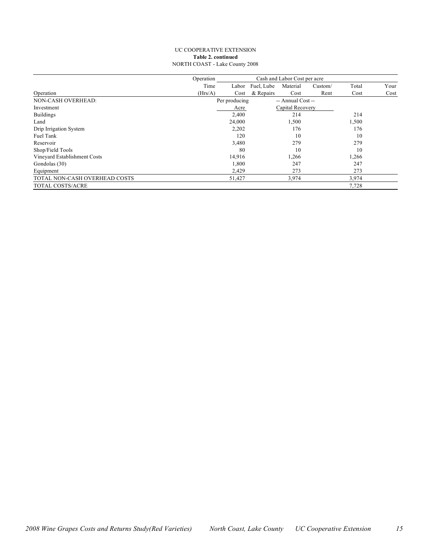#### UC COOPERATIVE EXTENSION **Table 2. continued** NORTH COAST - Lake County 2008

|                               | Operation |               | Cash and Labor Cost per acre |                   |         |       |      |
|-------------------------------|-----------|---------------|------------------------------|-------------------|---------|-------|------|
|                               | Time      | Labor         | Fuel, Lube                   | Material          | Custom/ | Total | Your |
| Operation                     | (Hrs/A)   | Cost          | & Repairs                    | Cost              | Rent    | Cost  | Cost |
| NON-CASH OVERHEAD:            |           | Per producing |                              | -- Annual Cost -- |         |       |      |
| Investment                    |           | Acre          |                              | Capital Recovery  |         |       |      |
| <b>Buildings</b>              |           | 2,400         |                              | 214               |         | 214   |      |
| Land                          |           | 24,000        |                              | 1,500             |         | 1,500 |      |
| Drip Irrigation System        |           | 2,202         |                              | 176               |         | 176   |      |
| Fuel Tank                     |           | 120           |                              | 10                |         | 10    |      |
| Reservoir                     |           | 3,480         |                              | 279               |         | 279   |      |
| Shop/Field Tools              |           | 80            |                              | 10                |         | 10    |      |
| Vineyard Establishment Costs  |           | 14,916        |                              | 1,266             |         | 1,266 |      |
| Gondolas (30)                 |           | 1,800         |                              | 247               |         | 247   |      |
| Equipment                     |           | 2,429         |                              | 273               |         | 273   |      |
| TOTAL NON-CASH OVERHEAD COSTS |           | 51,427        |                              | 3,974             |         | 3,974 |      |
| <b>TOTAL COSTS/ACRE</b>       |           |               |                              |                   |         | 7,728 |      |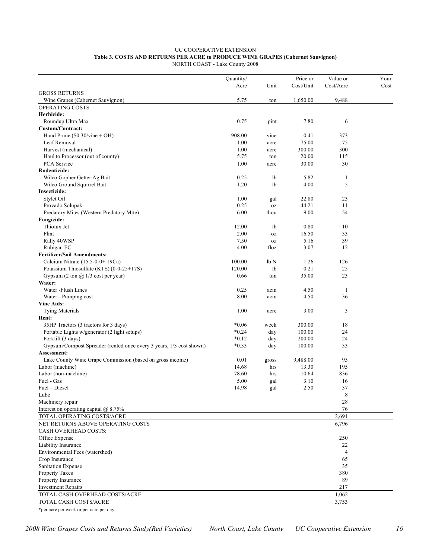#### UC COOPERATIVE EXTENSION **Table 3. COSTS AND RETURNS PER ACRE to PRODUCE WINE GRAPES (Cabernet Sauvignon)** NORTH COAST - Lake County 2008

|                                                                     | Quantity/ |             | Price or  | Value or             | Your |
|---------------------------------------------------------------------|-----------|-------------|-----------|----------------------|------|
|                                                                     | Acre      | Unit        | Cost/Unit | Cost/Acre            | Cost |
| <b>GROSS RETURNS</b><br>Wine Grapes (Cabernet Sauvignon)            | 5.75      | ton         | 1,650.00  | 9,488                |      |
| OPERATING COSTS                                                     |           |             |           |                      |      |
| Herbicide:                                                          |           |             |           |                      |      |
| Roundup Ultra Max                                                   | 0.75      | pint        | 7.80      | 6                    |      |
| Custom/Contract:                                                    |           |             |           |                      |      |
| Hand Prune $(\$0.30/\text{vine} + OH)$                              | 908.00    | vine        | 0.41      | 373                  |      |
| Leaf Removal                                                        | 1.00      | acre        | 75.00     | 75                   |      |
| Harvest (mechanical)                                                | 1.00      | acre        | 300.00    | 300                  |      |
| Haul to Processor (out of county)                                   | 5.75      | ton         | 20.00     | 115                  |      |
| PCA Service                                                         | 1.00      | acre        | 30.00     | 30                   |      |
| Rodenticide:                                                        |           |             |           |                      |      |
| Wilco Gopher Getter Ag Bait                                         | 0.25      | lb          | 5.82      | 1                    |      |
| Wilco Ground Squirrel Bait                                          | 1.20      | 1b          | 4.00      | 5                    |      |
| <b>Insecticide:</b>                                                 |           |             |           |                      |      |
| Stylet Oil                                                          | 1.00      | gal         | 22.80     | 23                   |      |
| Provado Solupak                                                     | 0.25      | <b>OZ</b>   | 44.21     | 11                   |      |
| Predatory Mites (Western Predatory Mite)                            | 6.00      | thou        | 9.00      | 54                   |      |
| Fungicide:                                                          |           |             |           |                      |      |
| Thiolux Jet                                                         | 12.00     | 1b          | 0.80      | 10                   |      |
| Flint                                                               | 2.00      | $_{\rm OZ}$ | 16.50     | 33                   |      |
| Rally 40WSP                                                         | 7.50      | $_{\rm OZ}$ | 5.16      | 39                   |      |
| Rubigan EC                                                          | 4.00      | floz        | 3.07      | 12                   |      |
| <b>Fertilizer/Soil Amendments:</b>                                  |           |             |           |                      |      |
| Calcium Nitrate (15.5-0-0+19Ca)                                     | 100.00    | lb N        | 1.26      | 126                  |      |
| Potassium Thiosulfate (KTS) (0-0-25+17S)                            | 120.00    | 1b          | 0.21      | 25                   |      |
| Gypsum (2 ton $\omega$ 1/3 cost per year)                           | 0.66      |             | 35.00     | 23                   |      |
| Water:                                                              |           | ton         |           |                      |      |
| Water - Flush Lines                                                 | 0.25      | acin        | 4.50      | $\mathbf{1}$         |      |
|                                                                     | 8.00      | acin        | 4.50      | 36                   |      |
| Water - Pumping cost<br><b>Vine Aids:</b>                           |           |             |           |                      |      |
|                                                                     | 1.00      |             | 3.00      | 3                    |      |
| <b>Tying Materials</b><br>Rent:                                     |           | acre        |           |                      |      |
| 35HP Tractors (3 tractors for 3 days)                               | $*0.06$   | week        | 300.00    | 18                   |      |
| Portable Lights w/generator (2 light setups)                        | $*0.24$   | day         | 100.00    | 24                   |      |
| Forklift (3 days)                                                   | $*0.12$   | day         | 200.00    | 24                   |      |
| Gypsum/Compost Spreader (rented once every 3 years, 1/3 cost shown) | $*0.33$   | day         | 100.00    | 33                   |      |
| Assessment:                                                         |           |             |           |                      |      |
| Lake County Wine Grape Commission (based on gross income)           | 0.01      | gross       | 9,488.00  | 95                   |      |
| Labor (machine)                                                     | 14.68     | hrs         | 13.30     | 195                  |      |
| Labor (non-machine)                                                 | 78.60     | hrs         | 10.64     | 836                  |      |
| Fuel - Gas                                                          | 5.00      |             | 3.10      | 16                   |      |
| Fuel - Diesel                                                       | 14.98     | gal<br>gal  | 2.50      | 37                   |      |
| Lube                                                                |           |             |           | 8                    |      |
| Machinery repair                                                    |           |             |           | 28                   |      |
| Interest on operating capital $@$ 8.75%                             |           |             |           | 76                   |      |
| TOTAL OPERATING COSTS/ACRE                                          |           |             |           | 2,691                |      |
| NET RETURNS ABOVE OPERATING COSTS                                   |           |             |           | 6,796                |      |
| CASH OVERHEAD COSTS:                                                |           |             |           |                      |      |
|                                                                     |           |             |           | 250                  |      |
| Office Expense                                                      |           |             |           |                      |      |
| Liability Insurance<br>Environmental Fees (watershed)               |           |             |           | 22<br>$\overline{4}$ |      |
|                                                                     |           |             |           |                      |      |
| Crop Insurance                                                      |           |             |           | 65                   |      |
| Sanitation Expense                                                  |           |             |           | 35                   |      |
| Property Taxes                                                      |           |             |           | 380                  |      |
| Property Insurance                                                  |           |             |           | 89                   |      |
| <b>Investment Repairs</b>                                           |           |             |           | 217                  |      |
| TOTAL CASH OVERHEAD COSTS/ACRE                                      |           |             |           | 1,062                |      |
| TOTAL CASH COSTS/ACRE                                               |           |             |           | 3,753                |      |

<sup>\*</sup>per acre per week or per acre per day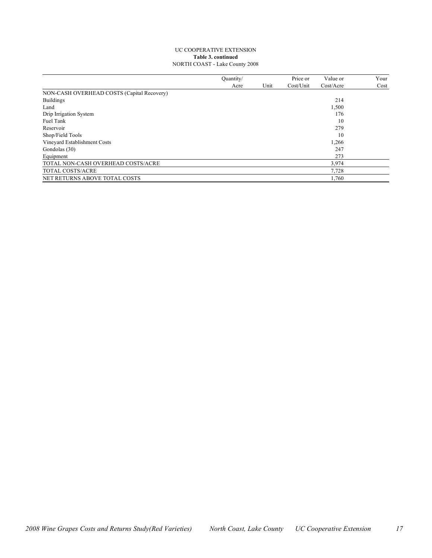#### UC COOPERATIVE EXTENSION **Table 3. continued** NORTH COAST - Lake County 2008

|                                            | Ouantity/ |      | Price or  | Value or  | Your |
|--------------------------------------------|-----------|------|-----------|-----------|------|
|                                            | Acre      | Unit | Cost/Unit | Cost/Accr | Cost |
| NON-CASH OVERHEAD COSTS (Capital Recovery) |           |      |           |           |      |
| <b>Buildings</b>                           |           |      |           | 214       |      |
| Land                                       |           |      |           | 1,500     |      |
| Drip Irrigation System                     |           |      |           | 176       |      |
| Fuel Tank                                  |           |      |           | 10        |      |
| Reservoir                                  |           |      |           | 279       |      |
| Shop/Field Tools                           |           |      |           | 10        |      |
| Vineyard Establishment Costs               |           |      |           | 1,266     |      |
| Gondolas (30)                              |           |      |           | 247       |      |
| Equipment                                  |           |      |           | 273       |      |
| TOTAL NON-CASH OVERHEAD COSTS/ACRE         |           |      |           | 3,974     |      |
| TOTAL COSTS/ACRE                           |           |      |           | 7,728     |      |
| NET RETURNS ABOVE TOTAL COSTS              |           |      |           | 1.760     |      |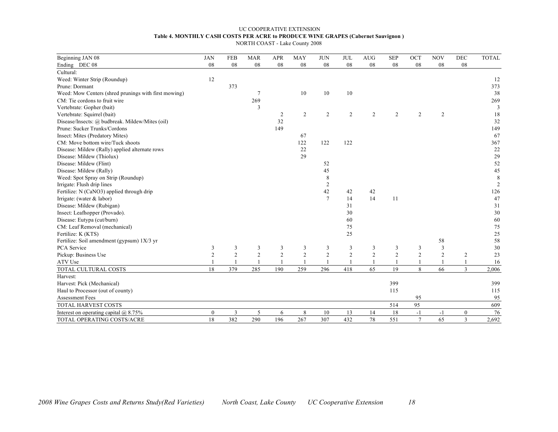#### UC COOPERATIVE EXTENSION **Table 4. MONTHLY CASH COSTS PER ACRE to PRODUCE WINE GRAPES (Cabernet Sauvignon )** NORTH COAST - Lake County 2008

| Beginning JAN 08                                     | <b>JAN</b>       | <b>FEB</b>     | <b>MAR</b>      | <b>APR</b>     | <b>MAY</b>     | <b>JUN</b>     | <b>JUL</b>     | <b>AUG</b>     | <b>SEP</b>     | OCT            | <b>NOV</b>     | DEC            | <b>TOTAL</b> |
|------------------------------------------------------|------------------|----------------|-----------------|----------------|----------------|----------------|----------------|----------------|----------------|----------------|----------------|----------------|--------------|
| Ending DEC 08                                        | 08               | 08             | 08              | 08             | 08             | 08             | 08             | 08             | 08             | 08             | 08             | ${\bf 08}$     |              |
| Cultural:                                            |                  |                |                 |                |                |                |                |                |                |                |                |                |              |
| Weed: Winter Strip (Roundup)                         | 12               |                |                 |                |                |                |                |                |                |                |                |                | 12           |
| Prune: Dormant                                       |                  | 373            |                 |                |                |                |                |                |                |                |                |                | 373          |
| Weed: Mow Centers (shred prunings with first mowing) |                  |                | $7\phantom{.0}$ |                | 10             | 10             | 10             |                |                |                |                |                | 38           |
| CM: Tie cordons to fruit wire                        |                  |                | 269             |                |                |                |                |                |                |                |                |                | 269          |
| Vertebrate: Gopher (bait)                            |                  |                | 3               |                |                |                |                |                |                |                |                |                | 3            |
| Vertebrate: Squirrel (bait)                          |                  |                |                 | 2              | $\overline{2}$ | 2              | $\overline{2}$ | $\overline{2}$ | 2              | 2              | $\overline{2}$ |                | 18           |
| Disease/Insects: @ budbreak. Mildew/Mites (oil)      |                  |                |                 | 32             |                |                |                |                |                |                |                |                | 32           |
| Prune: Sucker Trunks/Cordons                         |                  |                |                 | 149            |                |                |                |                |                |                |                |                | 149          |
| Insect: Mites (Predatory Mites)                      |                  |                |                 |                | 67             |                |                |                |                |                |                |                | 67           |
| CM: Move bottom wire/Tuck shoots                     |                  |                |                 |                | 122            | 122            | 122            |                |                |                |                |                | 367          |
| Disease: Mildew (Rally) applied alternate rows       |                  |                |                 |                | 22             |                |                |                |                |                |                |                | 22           |
| Disease: Mildew (Thiolux)                            |                  |                |                 |                | 29             |                |                |                |                |                |                |                | 29           |
| Disease: Mildew (Flint)                              |                  |                |                 |                |                | 52             |                |                |                |                |                |                | 52           |
| Disease: Mildew (Rally)                              |                  |                |                 |                |                | 45             |                |                |                |                |                |                | $45\,$       |
| Weed: Spot Spray on Strip (Roundup)                  |                  |                |                 |                |                | 8              |                |                |                |                |                |                | 8            |
| Irrigate: Flush drip lines                           |                  |                |                 |                |                | $\overline{2}$ |                |                |                |                |                |                | 2            |
| Fertilize: N (CaNO3) applied through drip            |                  |                |                 |                |                | 42             | 42             | 42             |                |                |                |                | 126          |
| Irrigate: (water & labor)                            |                  |                |                 |                |                | $\overline{7}$ | 14             | 14             | 11             |                |                |                | 47           |
| Disease: Mildew (Rubigan)                            |                  |                |                 |                |                |                | 31             |                |                |                |                |                | 31           |
| Insect: Leafhopper (Provado).                        |                  |                |                 |                |                |                | 30             |                |                |                |                |                | 30           |
| Disease: Eutypa (cut/burn)                           |                  |                |                 |                |                |                | 60             |                |                |                |                |                | 60           |
| CM: Leaf Removal (mechanical)                        |                  |                |                 |                |                |                | 75             |                |                |                |                |                | $75\,$       |
| Fertilize: K (KTS)                                   |                  |                |                 |                |                |                | 25             |                |                |                |                |                | $25\,$       |
| Fertilize: Soil amendment (gypsum) 1X/3 yr           |                  |                |                 |                |                |                |                |                |                |                | 58             |                | 58           |
| PCA Service                                          | 3                | 3              | 3               | 3              | 3              | 3              | 3              | 3              | 3              | 3              | 3              |                | 30           |
| Pickup: Business Use                                 | $\overline{2}$   | $\overline{2}$ | $\overline{2}$  | $\overline{2}$ | $\overline{2}$ | $\overline{2}$ | $\overline{2}$ | $\overline{2}$ | $\overline{2}$ | $\overline{2}$ | $\overline{c}$ | $\overline{c}$ | 23           |
| ATV Use                                              |                  |                |                 |                |                |                |                |                |                |                |                |                | 16           |
| TOTAL CULTURAL COSTS                                 | 18               | 379            | 285             | 190            | 259            | 296            | 418            | 65             | 19             | 8              | 66             | $\overline{3}$ | 2,006        |
| Harvest:                                             |                  |                |                 |                |                |                |                |                |                |                |                |                |              |
| Harvest: Pick (Mechanical)                           |                  |                |                 |                |                |                |                |                | 399            |                |                |                | 399          |
| Haul to Processor (out of county)                    |                  |                |                 |                |                |                |                |                | 115            |                |                |                | 115          |
| Assessment Fees                                      |                  |                |                 |                |                |                |                |                |                | 95             |                |                | 95           |
| <b>TOTAL HARVEST COSTS</b>                           |                  |                |                 |                |                |                |                |                | 514            | 95             |                |                | 609          |
| Interest on operating capital $(a)$ 8.75%            | $\boldsymbol{0}$ | 3              | 5               | 6              | 8              | 10             | 13             | 14             | 18             | $-1$           | $-1$           | $\mathbf{0}$   | 76           |
| TOTAL OPERATING COSTS/ACRE                           | 18               | 382            | 290             | 196            | 267            | 307            | 432            | 78             | 551            | $\overline{7}$ | 65             | 3              | 2,692        |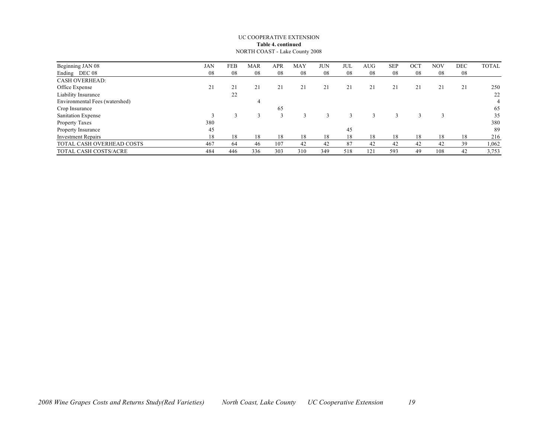#### UC COOPERATIVE EXTENSION **Table 4. continued** NORTH COAST - Lake County 2008

| Beginning JAN 08               | <b>JAN</b> | FEB | <b>MAR</b> | APR | MAY | <b>JUN</b> | JUI | <b>AUG</b> | <b>SEP</b> | OC <sub>1</sub> | <b>NOV</b> | DEC | <b>TOTAL</b> |
|--------------------------------|------------|-----|------------|-----|-----|------------|-----|------------|------------|-----------------|------------|-----|--------------|
| Ending DEC 08                  | 08         | 08  | 08         | 08  | 08  | 08         | 08  | 08         | 08         | 08              | 08         | 08  |              |
| <b>CASH OVERHEAD:</b>          |            |     |            |     |     |            |     |            |            |                 |            |     |              |
| Office Expense                 | 21         | 21  | 21         | 21  | 21  | 21         |     | 21         | 21         | 21              | 21         | 21  | 250          |
| Liability Insurance            |            | 22  |            |     |     |            |     |            |            |                 |            |     | 22           |
| Environmental Fees (watershed) |            |     |            |     |     |            |     |            |            |                 |            |     | 4            |
| Crop Insurance                 |            |     |            | 65  |     |            |     |            |            |                 |            |     | 65           |
| Sanitation Expense             |            |     |            |     |     |            |     |            |            |                 |            |     | 35           |
| Property Taxes                 | 380        |     |            |     |     |            |     |            |            |                 |            |     | 380          |
| Property Insurance             | 45         |     |            |     |     |            | 45  |            |            |                 |            |     | 89           |
| <b>Investment Repairs</b>      | 18         | 18  | 18         | 18  | 18  | 18         | 18  | 18         | 18         | 18              | 18         | 18  | 216          |
| TOTAL CASH OVERHEAD COSTS      | 467        | 64  | 46         | 107 | 42  | 42         | 87  | 42         | 42         | 42              | 42         | 39  | 1,062        |
| TOTAL CASH COSTS/ACRE          | 484        | 446 | 336        | 303 | 310 | 349        | 518 | 121        | 593        | 49              | 108        | 42  | 3,753        |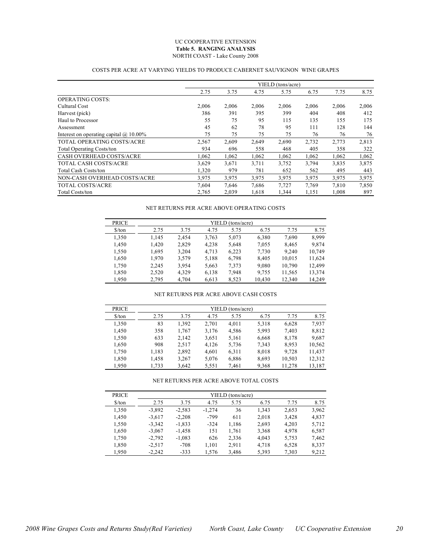#### UC COOPERATIVE EXTENSION **Table 5. RANGING ANALYSIS** NORTH COAST - Lake County 2008

#### COSTS PER ACRE AT VARYING YIELDS TO PRODUCE CABERNET SAUVIGNON WINE GRAPES

|                                               |       |       |       | YIELD (tons/acre) |       |       |       |
|-----------------------------------------------|-------|-------|-------|-------------------|-------|-------|-------|
|                                               | 2.75  | 3.75  | 4.75  | 5.75              | 6.75  | 7.75  | 8.75  |
| <b>OPERATING COSTS:</b>                       |       |       |       |                   |       |       |       |
| Cultural Cost                                 | 2.006 | 2,006 | 2,006 | 2,006             | 2,006 | 2,006 | 2,006 |
| Harvest (pick)                                | 386   | 391   | 395   | 399               | 404   | 408   | 412   |
| Haul to Processor                             | 55    | 75    | 95    | 115               | 135   | 155   | 175   |
| Assessment                                    | 45    | 62    | 78    | 95                | 111   | 128   | 144   |
| Interest on operating capital $\omega$ 10.00% | 75    | 75    | 75    | 75                | 76    | 76    | 76    |
| <b>TOTAL OPERATING COSTS/ACRE</b>             | 2,567 | 2,609 | 2,649 | 2,690             | 2,732 | 2,773 | 2,813 |
| <b>Total Operating Costs/ton</b>              | 934   | 696   | 558   | 468               | 405   | 358   | 322   |
| CASH OVERHEAD COSTS/ACRE                      | 1,062 | 1,062 | 1,062 | 1,062             | 1,062 | 1,062 | 1,062 |
| <b>TOTAL CASH COSTS/ACRE</b>                  | 3,629 | 3,671 | 3,711 | 3,752             | 3,794 | 3,835 | 3,875 |
| <b>Total Cash Costs/ton</b>                   | 1,320 | 979   | 781   | 652               | 562   | 495   | 443   |
| NON-CASH OVERHEAD COSTS/ACRE                  | 3,975 | 3,975 | 3,975 | 3,975             | 3,975 | 3,975 | 3,975 |
| <b>TOTAL COSTS/ACRE</b>                       | 7,604 | 7,646 | 7,686 | 7,727             | 7,769 | 7,810 | 7,850 |
| <b>Total Costs/ton</b>                        | 2,765 | 2,039 | 1,618 | 1,344             | 1,151 | 1,008 | 897   |

#### NET RETURNS PER ACRE ABOVE OPERATING COSTS

| <b>PRICE</b>                  | YIELD (tons/acre) |       |       |       |        |        |        |  |  |  |
|-------------------------------|-------------------|-------|-------|-------|--------|--------|--------|--|--|--|
| $\frac{\text{S}}{\text{ton}}$ | 2.75              | 3.75  | 4.75  | 5.75  | 6.75   | 7.75   | 8.75   |  |  |  |
| 1,350                         | 1,145             | 2.454 | 3,763 | 5,073 | 6,380  | 7,690  | 8.999  |  |  |  |
| 1,450                         | 1,420             | 2,829 | 4,238 | 5,648 | 7,055  | 8,465  | 9,874  |  |  |  |
| 1,550                         | 1,695             | 3,204 | 4,713 | 6,223 | 7,730  | 9,240  | 10,749 |  |  |  |
| 1,650                         | 1.970             | 3,579 | 5,188 | 6,798 | 8,405  | 10,015 | 11,624 |  |  |  |
| 1,750                         | 2,245             | 3,954 | 5,663 | 7,373 | 9,080  | 10,790 | 12,499 |  |  |  |
| 1,850                         | 2,520             | 4,329 | 6,138 | 7.948 | 9,755  | 11,565 | 13,374 |  |  |  |
| 1.950                         | 2,795             | 4.704 | 6,613 | 8,523 | 10.430 | 12,340 | 14.249 |  |  |  |

#### NET RETURNS PER ACRE ABOVE CASH COSTS

| <b>PRICE</b>                  |       |       |       | YIELD (tons/acre) |       |        |        |
|-------------------------------|-------|-------|-------|-------------------|-------|--------|--------|
| $\frac{\text{S}}{\text{ton}}$ | 2.75  | 3.75  | 4.75  | 5.75              | 6.75  | 7.75   | 8.75   |
| 1,350                         | 83    | 1,392 | 2,701 | 4.011             | 5,318 | 6,628  | 7.937  |
| 1,450                         | 358   | 1,767 | 3,176 | 4,586             | 5,993 | 7.403  | 8,812  |
| 1,550                         | 633   | 2,142 | 3,651 | 5,161             | 6,668 | 8,178  | 9,687  |
| 1,650                         | 908   | 2,517 | 4,126 | 5,736             | 7,343 | 8,953  | 10,562 |
| 1,750                         | 1,183 | 2,892 | 4,601 | 6,311             | 8,018 | 9,728  | 11.437 |
| 1,850                         | 1,458 | 3,267 | 5,076 | 6,886             | 8,693 | 10,503 | 12,312 |
| 1.950                         | 1,733 | 3,642 | 5,551 | 7,461             | 9,368 | 11.278 | 13,187 |

NET RETURNS PER ACRE ABOVE TOTAL COSTS

| <b>PRICE</b>                  |          |          |          | YIELD (tons/acre) |       |       |       |
|-------------------------------|----------|----------|----------|-------------------|-------|-------|-------|
| $\frac{\text{S}}{\text{ton}}$ | 2.75     | 3.75     | 4.75     | 5.75              | 6.75  | 7.75  | 8.75  |
| 1.350                         | $-3.892$ | $-2.583$ | $-1.274$ | 36                | 1.343 | 2,653 | 3,962 |
| 1.450                         | $-3.617$ | $-2,208$ | -799     | 611               | 2,018 | 3,428 | 4,837 |
| 1,550                         | $-3.342$ | $-1,833$ | $-324$   | 1,186             | 2,693 | 4,203 | 5,712 |
| 1,650                         | $-3,067$ | $-1,458$ | 151      | 1,761             | 3,368 | 4,978 | 6,587 |
| 1,750                         | $-2,792$ | $-1,083$ | 626      | 2,336             | 4,043 | 5,753 | 7,462 |
| 1,850                         | $-2.517$ | $-708$   | 1,101    | 2.911             | 4.718 | 6,528 | 8,337 |
| 1.950                         | $-2.242$ | $-333$   | 1.576    | 3.486             | 5.393 | 7,303 | 9.212 |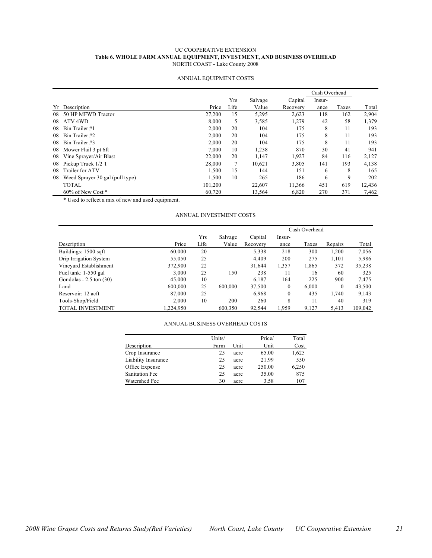#### UC COOPERATIVE EXTENSION **Table 6. WHOLE FARM ANNUAL EQUIPMENT, INVESTMENT, AND BUSINESS OVERHEAD** NORTH COAST - Lake County 2008

|     |                                 |         |      |         |          | Cash Overhead |       |        |
|-----|---------------------------------|---------|------|---------|----------|---------------|-------|--------|
|     |                                 |         | Yrs  | Salvage | Capital  | Insur-        |       |        |
| Yr. | Description                     | Price   | Life | Value   | Recovery | ance          | Taxes | Total  |
| 08  | 50 HP MFWD Tractor              | 27,200  | 15   | 5,295   | 2,623    | 118           | 162   | 2,904  |
| 08  | ATV <sub>4WD</sub>              | 8,000   | 5    | 3,585   | 1,279    | 42            | 58    | 1,379  |
| 08  | Bin Trailer#1                   | 2,000   | 20   | 104     | 175      | 8             | 11    | 193    |
| 08  | Bin Trailer#2                   | 2,000   | 20   | 104     | 175      | 8             | 11    | 193    |
| 08  | Bin Trailer#3                   | 2,000   | 20   | 104     | 175      | 8             | 11    | 193    |
| 08  | Mower Flail 3 pt 6ft            | 7.000   | 10   | 1,238   | 870      | 30            | 41    | 941    |
| 08  | Vine Sprayer/Air Blast          | 22,000  | 20   | 1,147   | 1,927    | 84            | 116   | 2,127  |
| 08  | Pickup Truck 1/2 T              | 28,000  | 7    | 10,621  | 3,805    | 141           | 193   | 4,138  |
| 08  | Trailer for ATV                 | 1,500   | 15   | 144     | 151      | 6             | 8     | 165    |
| 08  | Weed Sprayer 30 gal (pull type) | 1,500   | 10   | 265     | 186      | 6             | 9     | 202    |
|     | <b>TOTAL</b>                    | 101,200 |      | 22,607  | 11,366   | 451           | 619   | 12,436 |
|     | $60\%$ of New Cost $*$          | 60,720  |      | 13,564  | 6,820    | 270           | 371   | 7,462  |

#### ANNUAL EQUIPMENT COSTS

\* Used to reflect a mix of new and used equipment.

#### ANNUAL INVESTMENT COSTS

|                             |          |      |         |          | Cash Overhead |       |          |         |
|-----------------------------|----------|------|---------|----------|---------------|-------|----------|---------|
|                             |          | Yrs  | Salvage | Capital  | Insur-        |       |          |         |
| Description                 | Price    | Life | Value   | Recovery | ance          | Taxes | Repairs  | Total   |
| Buildings: 1500 sqft        | 60,000   | 20   |         | 5,338    | 218           | 300   | 1,200    | 7,056   |
| Drip Irrigation System      | 55,050   | 25   |         | 4.409    | 200           | 275   | 1,101    | 5,986   |
| Vineyard Establishment      | 372,900  | 22   |         | 31,644   | 1,357         | 1,865 | 372      | 35,238  |
| Fuel tank: $1-550$ gal      | 3,000    | 25   | 150     | 238      | 11            | 16    | 60       | 325     |
| Gondolas - $2.5$ ton $(30)$ | 45,000   | 10   |         | 6.187    | 164           | 225   | 900      | 7,475   |
| Land                        | 600,000  | 25   | 600,000 | 37,500   | $\mathbf{0}$  | 6,000 | $\Omega$ | 43,500  |
| Reservoir: 12 acft          | 87,000   | 25   |         | 6,968    | $\mathbf{0}$  | 435   | 1,740    | 9,143   |
| Tools-Shop/Field            | 2,000    | 10   | 200     | 260      | 8             | 11    | 40       | 319     |
| TOTAL INVESTMENT            | ,224,950 |      | 600,350 | 92,544   | 1.959         | 9,127 | 5,413    | 109,042 |

#### ANNUAL BUSINESS OVERHEAD COSTS

|                       | Units/ |      | Price/ | Total |
|-----------------------|--------|------|--------|-------|
| Description           | Farm   | Unit | Unit   | Cost  |
| Crop Insurance        | 25     | acre | 65.00  | 1,625 |
| Liability Insurance   | 25     | acre | 21.99  | 550   |
| Office Expense        | 25     | acre | 250.00 | 6,250 |
| <b>Sanitation Fee</b> | 25     | acre | 35.00  | 875   |
| Watershed Fee         | 30     | acre | 3.58   | 107   |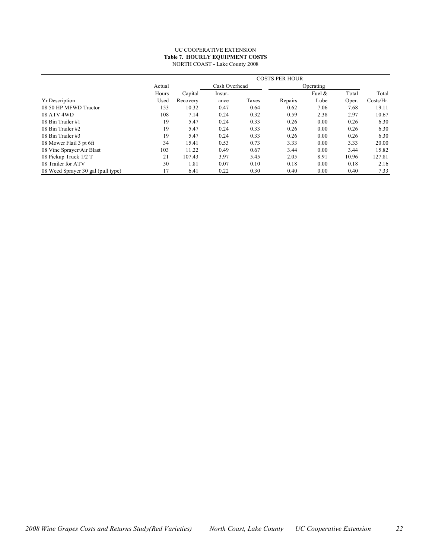#### UC COOPERATIVE EXTENSION **Table 7. HOURLY EQUIPMENT COSTS** NORTH COAST - Lake County 2008

|                                    |        |          | <b>COSTS PER HOUR</b><br>Cash Overhead<br>Operating<br>Fuel $\&$<br>Total<br>Capital<br>Insur-<br>Lube<br>Taxes<br>Repairs<br>Oper.<br>ance<br>7.06<br>10.32<br>0.47<br>0.64<br>0.62<br>7.68<br>2.38<br>0.32<br>0.59<br>2.97<br>7.14<br>0.24<br>0.33<br>0.00<br>5.47<br>0.24<br>0.26<br>0.26<br>5.47<br>0.33<br>0.00<br>0.24<br>0.26<br>0.26 |      |      |      |       |           |  |  |  |
|------------------------------------|--------|----------|----------------------------------------------------------------------------------------------------------------------------------------------------------------------------------------------------------------------------------------------------------------------------------------------------------------------------------------------|------|------|------|-------|-----------|--|--|--|
|                                    | Actual |          |                                                                                                                                                                                                                                                                                                                                              |      |      |      |       |           |  |  |  |
|                                    | Hours  |          |                                                                                                                                                                                                                                                                                                                                              |      |      |      |       | Total     |  |  |  |
| <b>Yr Description</b>              | Used   | Recovery |                                                                                                                                                                                                                                                                                                                                              |      |      |      |       | Costs/Hr. |  |  |  |
| 08 50 HP MFWD Tractor              | 153    |          |                                                                                                                                                                                                                                                                                                                                              |      |      |      |       | 19.11     |  |  |  |
| 08 ATV 4WD                         | 108    |          |                                                                                                                                                                                                                                                                                                                                              |      |      |      |       | 10.67     |  |  |  |
| 08 Bin Trailer #1                  | 19     |          |                                                                                                                                                                                                                                                                                                                                              |      |      |      |       | 6.30      |  |  |  |
| 08 Bin Trailer #2                  | 19     |          |                                                                                                                                                                                                                                                                                                                                              |      |      |      |       | 6.30      |  |  |  |
| 08 Bin Trailer #3                  | 19     | 5.47     | 0.24                                                                                                                                                                                                                                                                                                                                         | 0.33 | 0.26 | 0.00 | 0.26  | 6.30      |  |  |  |
| 08 Mower Flail 3 pt 6ft            | 34     | 15.41    | 0.53                                                                                                                                                                                                                                                                                                                                         | 0.73 | 3.33 | 0.00 | 3.33  | 20.00     |  |  |  |
| 08 Vine Sprayer/Air Blast          | 103    | 11.22    | 0.49                                                                                                                                                                                                                                                                                                                                         | 0.67 | 3.44 | 0.00 | 3.44  | 15.82     |  |  |  |
| 08 Pickup Truck 1/2 T              | 21     | 107.43   | 3.97                                                                                                                                                                                                                                                                                                                                         | 5.45 | 2.05 | 8.91 | 10.96 | 127.81    |  |  |  |
| 08 Trailer for ATV                 | 50     | 1.81     | 0.07                                                                                                                                                                                                                                                                                                                                         | 0.10 | 0.18 | 0.00 | 0.18  | 2.16      |  |  |  |
| 08 Weed Sprayer 30 gal (pull type) | 17     | 6.41     | 0.22                                                                                                                                                                                                                                                                                                                                         | 0.30 | 0.40 | 0.00 | 0.40  | 7.33      |  |  |  |